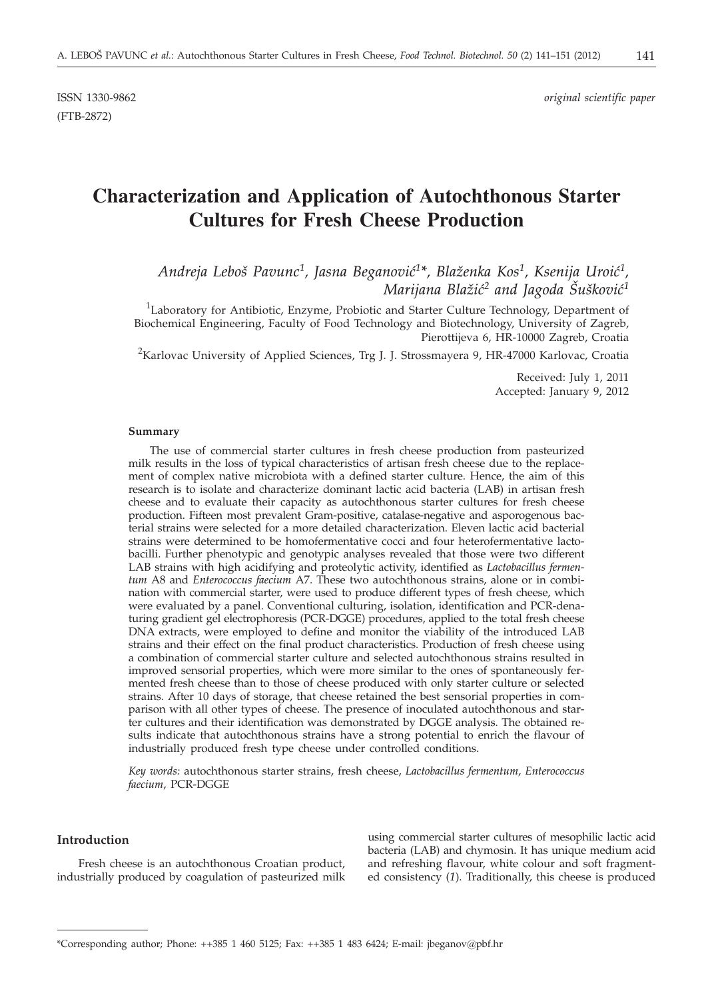ISSN 1330-9862 *original scientific paper*

# **Characterization and Application of Autochthonous Starter Cultures for Fresh Cheese Production**

*Andreja Lebo{ Pavunc1, Jasna Beganovi}1\*, Bla`enka Kos1, Ksenija Uroi}1, Marijana Blažić<sup>2</sup> and Jagoda Šušković<sup>1</sup>* 

<sup>1</sup>Laboratory for Antibiotic, Enzyme, Probiotic and Starter Culture Technology, Department of Biochemical Engineering, Faculty of Food Technology and Biotechnology, University of Zagreb, Pierottijeva 6, HR-10000 Zagreb, Croatia

 $^2$ Karlovac University of Applied Sciences, Trg J. J. Strossmayera 9, HR-47000 Karlovac, Croatia

Received: July 1, 2011 Accepted: January 9, 2012

#### **Summary**

The use of commercial starter cultures in fresh cheese production from pasteurized milk results in the loss of typical characteristics of artisan fresh cheese due to the replacement of complex native microbiota with a defined starter culture. Hence, the aim of this research is to isolate and characterize dominant lactic acid bacteria (LAB) in artisan fresh cheese and to evaluate their capacity as autochthonous starter cultures for fresh cheese production. Fifteen most prevalent Gram-positive, catalase-negative and asporogenous bacterial strains were selected for a more detailed characterization. Eleven lactic acid bacterial strains were determined to be homofermentative cocci and four heterofermentative lactobacilli. Further phenotypic and genotypic analyses revealed that those were two different LAB strains with high acidifying and proteolytic activity, identified as *Lactobacillus fermentum* A8 and *Enterococcus faecium* A7. These two autochthonous strains, alone or in combination with commercial starter, were used to produce different types of fresh cheese, which were evaluated by a panel. Conventional culturing, isolation, identification and PCR-denaturing gradient gel electrophoresis (PCR-DGGE) procedures, applied to the total fresh cheese DNA extracts, were employed to define and monitor the viability of the introduced LAB strains and their effect on the final product characteristics. Production of fresh cheese using a combination of commercial starter culture and selected autochthonous strains resulted in improved sensorial properties, which were more similar to the ones of spontaneously fermented fresh cheese than to those of cheese produced with only starter culture or selected strains. After 10 days of storage, that cheese retained the best sensorial properties in comparison with all other types of cheese. The presence of inoculated autochthonous and starter cultures and their identification was demonstrated by DGGE analysis. The obtained results indicate that autochthonous strains have a strong potential to enrich the flavour of industrially produced fresh type cheese under controlled conditions.

*Key words:* autochthonous starter strains, fresh cheese, *Lactobacillus fermentum*, *Enterococcus faecium*, PCR-DGGE

# **Introduction**

Fresh cheese is an autochthonous Croatian product, industrially produced by coagulation of pasteurized milk

using commercial starter cultures of mesophilic lactic acid bacteria (LAB) and chymosin. It has unique medium acid and refreshing flavour, white colour and soft fragmented consistency (*1*). Traditionally, this cheese is produced

<sup>\*</sup>Corresponding author; Phone: ++385 1 460 5125; Fax: ++385 1 483 6424; E-mail: jbeganov*@*pbf.hr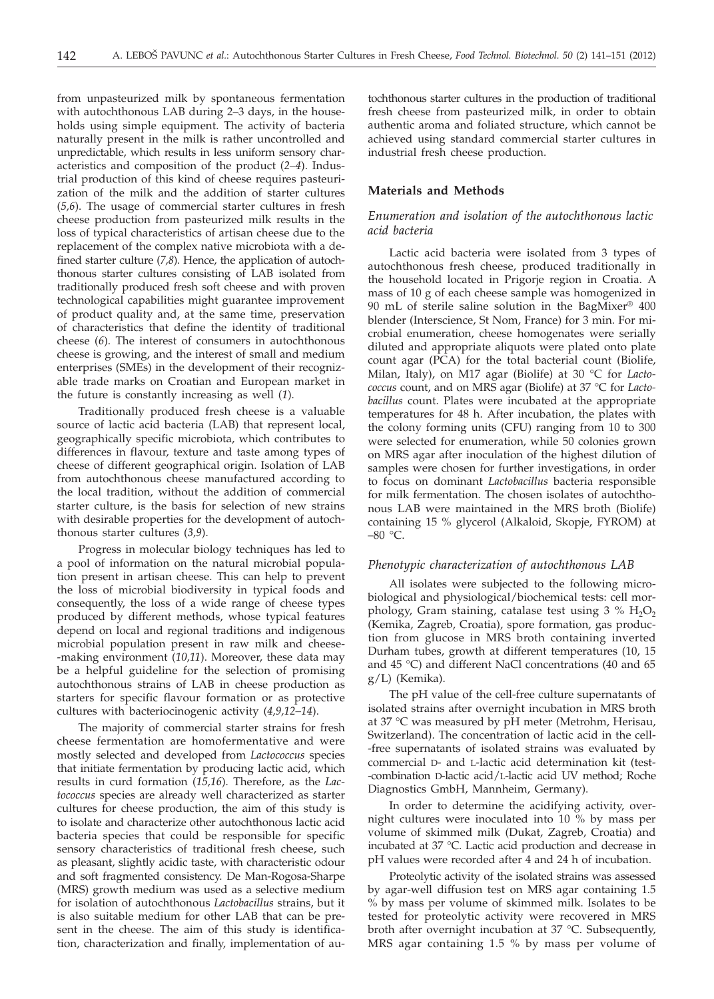from unpasteurized milk by spontaneous fermentation with autochthonous LAB during 2–3 days, in the households using simple equipment. The activity of bacteria naturally present in the milk is rather uncontrolled and unpredictable, which results in less uniform sensory characteristics and composition of the product (*2–4*). Industrial production of this kind of cheese requires pasteurization of the milk and the addition of starter cultures (*5,6*). The usage of commercial starter cultures in fresh cheese production from pasteurized milk results in the loss of typical characteristics of artisan cheese due to the replacement of the complex native microbiota with a defined starter culture (*7,8*). Hence, the application of autochthonous starter cultures consisting of LAB isolated from traditionally produced fresh soft cheese and with proven technological capabilities might guarantee improvement of product quality and, at the same time, preservation of characteristics that define the identity of traditional cheese (*6*). The interest of consumers in autochthonous cheese is growing, and the interest of small and medium enterprises (SMEs) in the development of their recognizable trade marks on Croatian and European market in the future is constantly increasing as well (*1*).

Traditionally produced fresh cheese is a valuable source of lactic acid bacteria (LAB) that represent local, geographically specific microbiota, which contributes to differences in flavour, texture and taste among types of cheese of different geographical origin. Isolation of LAB from autochthonous cheese manufactured according to the local tradition, without the addition of commercial starter culture, is the basis for selection of new strains with desirable properties for the development of autochthonous starter cultures (*3,9*).

Progress in molecular biology techniques has led to a pool of information on the natural microbial population present in artisan cheese. This can help to prevent the loss of microbial biodiversity in typical foods and consequently, the loss of a wide range of cheese types produced by different methods, whose typical features depend on local and regional traditions and indigenous microbial population present in raw milk and cheese- -making environment (*10,11*). Moreover, these data may be a helpful guideline for the selection of promising autochthonous strains of LAB in cheese production as starters for specific flavour formation or as protective cultures with bacteriocinogenic activity (*4,9,12–14*).

The majority of commercial starter strains for fresh cheese fermentation are homofermentative and were mostly selected and developed from *Lactococcus* species that initiate fermentation by producing lactic acid, which results in curd formation (*15,16*). Therefore, as the *Lactococcus* species are already well characterized as starter cultures for cheese production, the aim of this study is to isolate and characterize other autochthonous lactic acid bacteria species that could be responsible for specific sensory characteristics of traditional fresh cheese, such as pleasant, slightly acidic taste, with characteristic odour and soft fragmented consistency. De Man-Rogosa-Sharpe (MRS) growth medium was used as a selective medium for isolation of autochthonous *Lactobacillus* strains, but it is also suitable medium for other LAB that can be present in the cheese. The aim of this study is identification, characterization and finally, implementation of autochthonous starter cultures in the production of traditional fresh cheese from pasteurized milk, in order to obtain authentic aroma and foliated structure, which cannot be achieved using standard commercial starter cultures in industrial fresh cheese production.

# **Materials and Methods**

# *Enumeration and isolation of the autochthonous lactic acid bacteria*

Lactic acid bacteria were isolated from 3 types of autochthonous fresh cheese, produced traditionally in the household located in Prigorje region in Croatia. A mass of 10 g of each cheese sample was homogenized in 90 mL of sterile saline solution in the BagMixer® 400 blender (Interscience, St Nom, France) for 3 min. For microbial enumeration, cheese homogenates were serially diluted and appropriate aliquots were plated onto plate count agar (PCA) for the total bacterial count (Biolife, Milan, Italy), on M17 agar (Biolife) at 30 °C for *Lactococcus* count, and on MRS agar (Biolife) at 37 °C for *Lactobacillus* count. Plates were incubated at the appropriate temperatures for 48 h. After incubation, the plates with the colony forming units (CFU) ranging from 10 to 300 were selected for enumeration, while 50 colonies grown on MRS agar after inoculation of the highest dilution of samples were chosen for further investigations, in order to focus on dominant *Lactobacillus* bacteria responsible for milk fermentation. The chosen isolates of autochthonous LAB were maintained in the MRS broth (Biolife) containing 15 % glycerol (Alkaloid, Skopje, FYROM) at  $-80$  °C.

## *Phenotypic characterization of autochthonous LAB*

All isolates were subjected to the following microbiological and physiological/biochemical tests: cell morphology, Gram staining, catalase test using  $3\%$  H<sub>2</sub>O<sub>2</sub> (Kemika, Zagreb, Croatia), spore formation, gas production from glucose in MRS broth containing inverted Durham tubes, growth at different temperatures (10, 15 and 45 °C) and different NaCl concentrations (40 and 65 g/L) (Kemika).

The pH value of the cell-free culture supernatants of isolated strains after overnight incubation in MRS broth at 37 °C was measured by pH meter (Metrohm, Herisau, Switzerland). The concentration of lactic acid in the cell- -free supernatants of isolated strains was evaluated by commercial D- and L-lactic acid determination kit (test- -combination D-lactic acid/L-lactic acid UV method; Roche Diagnostics GmbH, Mannheim, Germany).

In order to determine the acidifying activity, overnight cultures were inoculated into 10 % by mass per volume of skimmed milk (Dukat, Zagreb, Croatia) and incubated at 37 °C. Lactic acid production and decrease in pH values were recorded after 4 and 24 h of incubation.

Proteolytic activity of the isolated strains was assessed by agar-well diffusion test on MRS agar containing 1.5 % by mass per volume of skimmed milk. Isolates to be tested for proteolytic activity were recovered in MRS broth after overnight incubation at 37 °C. Subsequently, MRS agar containing 1.5 % by mass per volume of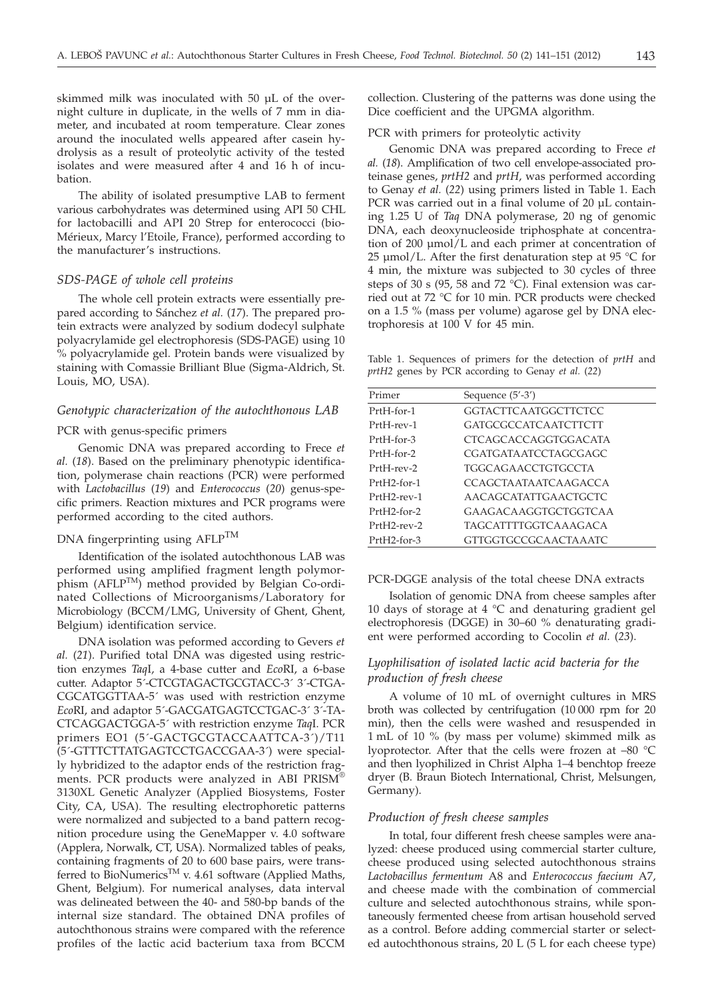skimmed milk was inoculated with 50 µL of the overnight culture in duplicate, in the wells of 7 mm in diameter, and incubated at room temperature. Clear zones around the inoculated wells appeared after casein hydrolysis as a result of proteolytic activity of the tested isolates and were measured after 4 and 16 h of incubation.

The ability of isolated presumptive LAB to ferment various carbohydrates was determined using API 50 CHL for lactobacilli and API 20 Strep for enterococci (bio-Mérieux, Marcy l'Etoile, France), performed according to the manufacturer's instructions.

#### *SDS-PAGE of whole cell proteins*

The whole cell protein extracts were essentially prepared according to Sánchez *et al.* (*17*). The prepared protein extracts were analyzed by sodium dodecyl sulphate polyacrylamide gel electrophoresis (SDS-PAGE) using 10 % polyacrylamide gel. Protein bands were visualized by staining with Comassie Brilliant Blue (Sigma-Aldrich, St. Louis, MO, USA).

# *Genotypic characterization of the autochthonous LAB*

## PCR with genus-specific primers

Genomic DNA was prepared according to Frece *et al.* (*18*). Based on the preliminary phenotypic identification, polymerase chain reactions (PCR) were performed with *Lactobacillus* (*19*) and *Enterococcus* (*20*) genus-specific primers. Reaction mixtures and PCR programs were performed according to the cited authors.

# DNA fingerprinting using AFLPTM

Identification of the isolated autochthonous LAB was performed using amplified fragment length polymorphism (AFLPTM) method provided by Belgian Co-ordinated Collections of Microorganisms/Laboratory for Microbiology (BCCM/LMG, University of Ghent, Ghent, Belgium) identification service.

DNA isolation was peformed according to Gevers *et al.* (*21*). Purified total DNA was digested using restriction enzymes *Taq*I, a 4-base cutter and *Eco*RI, a 6-base cutter. Adaptor 5´-CTCGTAGACTGCGTACC-3´ 3´-CTGA-CGCATGGTTAA-5´ was used with restriction enzyme *Eco*RI, and adaptor 5´-GACGATGAGTCCTGAC-3´ 3´-TA-CTCAGGACTGGA-5´ with restriction enzyme *Taq*I. PCR primers EO1 (5´-GACTGCGTACCAATTCA-3´)/T11 (5´-GTTTCTTATGAGTCCTGACCGAA-3´) were specially hybridized to the adaptor ends of the restriction fragments. PCR products were analyzed in ABI PRISM® 3130XL Genetic Analyzer (Applied Biosystems, Foster City, CA, USA). The resulting electrophoretic patterns were normalized and subjected to a band pattern recognition procedure using the GeneMapper v. 4.0 software (Applera, Norwalk, CT, USA). Normalized tables of peaks, containing fragments of 20 to 600 base pairs, were transferred to BioNumerics<sup>TM</sup> v. 4.61 software (Applied Maths, Ghent, Belgium). For numerical analyses, data interval was delineated between the 40- and 580-bp bands of the internal size standard. The obtained DNA profiles of autochthonous strains were compared with the reference profiles of the lactic acid bacterium taxa from BCCM

collection. Clustering of the patterns was done using the Dice coefficient and the UPGMA algorithm.

PCR with primers for proteolytic activity

Genomic DNA was prepared according to Frece *et al.* (*18*). Amplification of two cell envelope-associated proteinase genes, *prtH2* and *prtH*, was performed according to Genay *et al.* (*22*) using primers listed in Table 1. Each PCR was carried out in a final volume of 20 µL containing 1.25 U of *Taq* DNA polymerase, 20 ng of genomic DNA, each deoxynucleoside triphosphate at concentration of 200 µmol/L and each primer at concentration of 25 µmol/L. After the first denaturation step at 95  $\degree$ C for 4 min, the mixture was subjected to 30 cycles of three steps of 30 s (95, 58 and 72 °C). Final extension was carried out at 72 °C for 10 min. PCR products were checked on a 1.5 % (mass per volume) agarose gel by DNA electrophoresis at 100 V for 45 min.

Table 1. Sequences of primers for the detection of *prtH* and *prtH2* genes by PCR according to Genay *et al.* (*22*)

| Primer         | Sequence $(5'$ -3')         |
|----------------|-----------------------------|
| PrtH-for-1     | GGTACTTCAATGGCTTCTCC        |
| PrtH-rev-1     | GATGCGCCATCA ATCTTCTT       |
| PrtH-for-3     | CTCAGCACCAGGTGGACATA        |
| PrtH-for-2     | <b>CGATGATAATCCTAGCGAGC</b> |
| $PrtH-rev-2$   | TGGCAGAACCTGTGCCTA          |
| PrtH2-for-1    | CCAGCTA ATA ATCA AGACCA     |
| PrtH2-rev-1    | <b>AACAGCATATTGAACTGCTC</b> |
| PrtH2-for-2    | GAAGACAAGGTGCTGGTCAA        |
| $PrtH2-rev-2$  | <b>TAGCATTTTGGTCAAAGACA</b> |
| $PrtH2$ -for-3 | <b>GTTGGTGCCGCAACTAAATC</b> |

PCR-DGGE analysis of the total cheese DNA extracts

Isolation of genomic DNA from cheese samples after 10 days of storage at 4 °C and denaturing gradient gel electrophoresis (DGGE) in 30–60 % denaturating gradient were performed according to Cocolin *et al.* (*23*).

# *Lyophilisation of isolated lactic acid bacteria for the production of fresh cheese*

A volume of 10 mL of overnight cultures in MRS broth was collected by centrifugation (10 000 rpm for 20 min), then the cells were washed and resuspended in 1 mL of 10 % (by mass per volume) skimmed milk as lyoprotector. After that the cells were frozen at –80 °C and then lyophilized in Christ Alpha 1–4 benchtop freeze dryer (B. Braun Biotech International, Christ, Melsungen, Germany).

### *Production of fresh cheese samples*

In total, four different fresh cheese samples were analyzed: cheese produced using commercial starter culture, cheese produced using selected autochthonous strains *Lactobacillus fermentum* A8 and *Enterococcus faecium* A7, and cheese made with the combination of commercial culture and selected autochthonous strains, while spontaneously fermented cheese from artisan household served as a control. Before adding commercial starter or selected autochthonous strains, 20 L (5 L for each cheese type)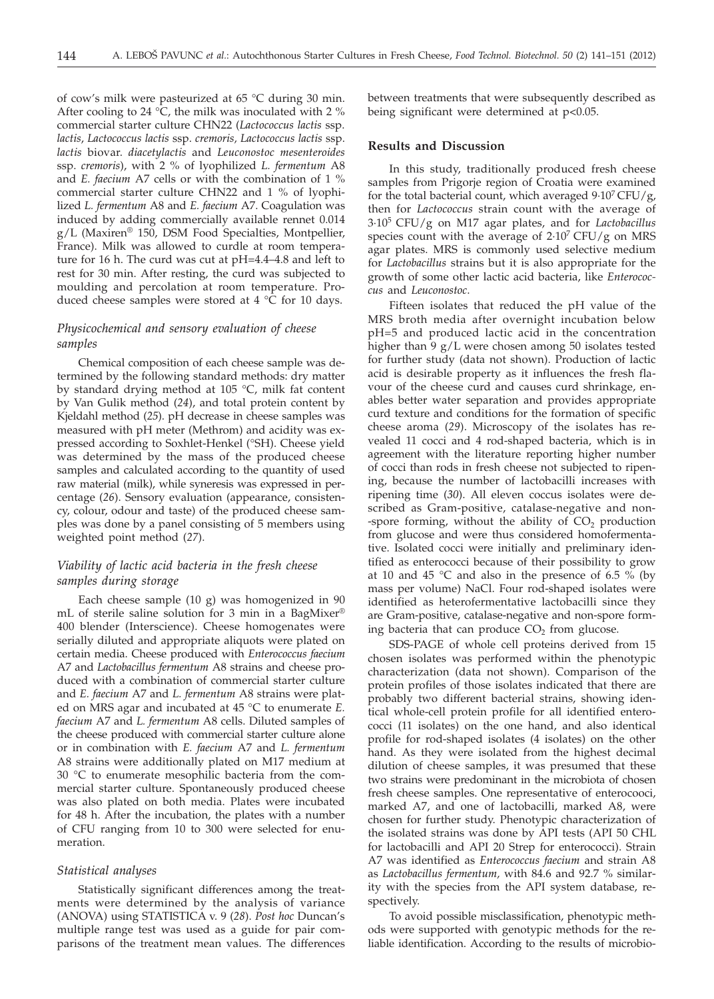of cow's milk were pasteurized at 65 °C during 30 min. After cooling to 24  $\degree$ C, the milk was inoculated with 2 % commercial starter culture CHN22 (*Lactococcus lactis* ssp. *lactis*, *Lactococcus lactis* ssp. *cremoris, Lactococcus lactis* ssp. *lactis* biovar. *diacetylactis* and *Leuconostoc mesenteroides* ssp. *cremoris*), with 2 % of lyophilized *L. fermentum* A8 and *E. faecium* A7 cells or with the combination of 1 % commercial starter culture CHN22 and 1 % of lyophilized *L. fermentum* A8 and *E. faecium* A7. Coagulation was induced by adding commercially available rennet 0.014 g/L (Maxiren® 150, DSM Food Specialties, Montpellier, France). Milk was allowed to curdle at room temperature for 16 h. The curd was cut at pH=4.4–4.8 and left to rest for 30 min. After resting, the curd was subjected to moulding and percolation at room temperature. Produced cheese samples were stored at 4 °C for 10 days.

# *Physicochemical and sensory evaluation of cheese samples*

Chemical composition of each cheese sample was determined by the following standard methods: dry matter by standard drying method at 105 °C, milk fat content by Van Gulik method (*24*), and total protein content by Kjeldahl method (*25*). pH decrease in cheese samples was measured with pH meter (Methrom) and acidity was expressed according to Soxhlet-Henkel (°SH). Cheese yield was determined by the mass of the produced cheese samples and calculated according to the quantity of used raw material (milk), while syneresis was expressed in percentage (*26*). Sensory evaluation (appearance, consistency, colour, odour and taste) of the produced cheese samples was done by a panel consisting of 5 members using weighted point method (*27*).

# *Viability of lactic acid bacteria in the fresh cheese samples during storage*

Each cheese sample (10 g) was homogenized in 90 mL of sterile saline solution for 3 min in a BagMixer® 400 blender (Interscience). Cheese homogenates were serially diluted and appropriate aliquots were plated on certain media. Cheese produced with *Enterococcus faecium* A7 and *Lactobacillus fermentum* A8 strains and cheese produced with a combination of commercial starter culture and *E. faecium* A7 and *L. fermentum* A8 strains were plated on MRS agar and incubated at 45 °C to enumerate *E. faecium* A7 and *L. fermentum* A8 cells. Diluted samples of the cheese produced with commercial starter culture alone or in combination with *E. faecium* A7 and *L. fermentum* A8 strains were additionally plated on M17 medium at 30 °C to enumerate mesophilic bacteria from the commercial starter culture. Spontaneously produced cheese was also plated on both media. Plates were incubated for 48 h. After the incubation, the plates with a number of CFU ranging from 10 to 300 were selected for enumeration.

#### *Statistical analyses*

Statistically significant differences among the treatments were determined by the analysis of variance (ANOVA) using STATISTICA v. 9 (*28*). *Post hoc* Duncan's multiple range test was used as a guide for pair comparisons of the treatment mean values. The differences

between treatments that were subsequently described as being significant were determined at p*<*0.05.

#### **Results and Discussion**

In this study, traditionally produced fresh cheese samples from Prigorje region of Croatia were examined for the total bacterial count, which averaged  $9.10^7$  CFU/g, then for *Lactococcus* strain count with the average of 3·105 CFU/g on M17 agar plates, and for *Lactobacillus* species count with the average of  $2.10^7$  CFU/g on MRS agar plates. MRS is commonly used selective medium for *Lactobacillus* strains but it is also appropriate for the growth of some other lactic acid bacteria, like *Enterococcus* and *Leuconostoc*.

Fifteen isolates that reduced the pH value of the MRS broth media after overnight incubation below pH=5 and produced lactic acid in the concentration higher than 9 g/L were chosen among 50 isolates tested for further study (data not shown). Production of lactic acid is desirable property as it influences the fresh flavour of the cheese curd and causes curd shrinkage, enables better water separation and provides appropriate curd texture and conditions for the formation of specific cheese aroma (*29*). Microscopy of the isolates has revealed 11 cocci and 4 rod-shaped bacteria, which is in agreement with the literature reporting higher number of cocci than rods in fresh cheese not subjected to ripening, because the number of lactobacilli increases with ripening time (*30*). All eleven coccus isolates were described as Gram-positive, catalase-negative and non- -spore forming, without the ability of  $CO<sub>2</sub>$  production from glucose and were thus considered homofermentative. Isolated cocci were initially and preliminary identified as enterococci because of their possibility to grow at 10 and 45  $\degree$ C and also in the presence of 6.5  $\%$  (by mass per volume) NaCl. Four rod-shaped isolates were identified as heterofermentative lactobacilli since they are Gram-positive, catalase-negative and non-spore forming bacteria that can produce  $CO<sub>2</sub>$  from glucose.

SDS-PAGE of whole cell proteins derived from 15 chosen isolates was performed within the phenotypic characterization (data not shown). Comparison of the protein profiles of those isolates indicated that there are probably two different bacterial strains, showing identical whole-cell protein profile for all identified enterococci (11 isolates) on the one hand, and also identical profile for rod-shaped isolates (4 isolates) on the other hand. As they were isolated from the highest decimal dilution of cheese samples, it was presumed that these two strains were predominant in the microbiota of chosen fresh cheese samples. One representative of enterocooci, marked A7, and one of lactobacilli, marked A8, were chosen for further study. Phenotypic characterization of the isolated strains was done by API tests (API 50 CHL for lactobacilli and API 20 Strep for enterococci). Strain A7 was identified as *Enterococcus faecium* and strain A8 as *Lactobacillus fermentum,* with 84.6 and 92.7 % similarity with the species from the API system database, respectively.

To avoid possible misclassification, phenotypic methods were supported with genotypic methods for the reliable identification. According to the results of microbio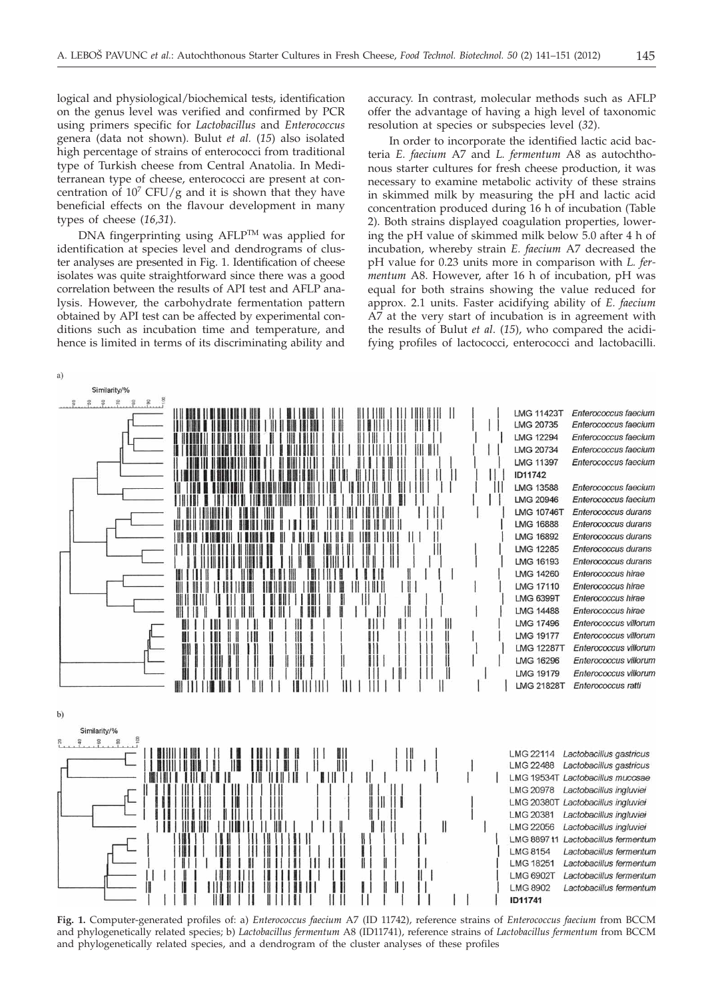logical and physiological/biochemical tests, identification on the genus level was verified and confirmed by PCR using primers specific for *Lactobacillus* and *Enterococcus* genera (data not shown). Bulut *et al.* (*15*) also isolated high percentage of strains of enterococci from traditional type of Turkish cheese from Central Anatolia. In Mediterranean type of cheese, enterococci are present at concentration of  $10^7$  CFU/g and it is shown that they have beneficial effects on the flavour development in many types of cheese (*16,31*).

DNA fingerprinting using AFLPTM was applied for identification at species level and dendrograms of cluster analyses are presented in Fig. 1. Identification of cheese isolates was quite straightforward since there was a good correlation between the results of API test and AFLP analysis. However, the carbohydrate fermentation pattern obtained by API test can be affected by experimental conditions such as incubation time and temperature, and hence is limited in terms of its discriminating ability and

accuracy. In contrast, molecular methods such as AFLP offer the advantage of having a high level of taxonomic resolution at species or subspecies level (*32*).

In order to incorporate the identified lactic acid bacteria *E. faecium* A7 and *L. fermentum* A8 as autochthonous starter cultures for fresh cheese production, it was necessary to examine metabolic activity of these strains in skimmed milk by measuring the pH and lactic acid concentration produced during 16 h of incubation (Table 2). Both strains displayed coagulation properties, lowering the pH value of skimmed milk below 5.0 after 4 h of incubation, whereby strain *E. faecium* A7 decreased the pH value for 0.23 units more in comparison with *L. fermentum* A8. However, after 16 h of incubation, pH was equal for both strains showing the value reduced for approx. 2.1 units. Faster acidifying ability of *E. faecium* A7 at the very start of incubation is in agreement with the results of Bulut *et al*. (*15*), who compared the acidifying profiles of lactococci, enterococci and lactobacilli.



**Fig. 1.** Computer-generated profiles of: a) *Enterococcus faecium* A7 (ID 11742), reference strains of *Enterococcus faecium* from BCCM and phylogenetically related species; b) *Lactobacillus fermentum* A8 (ID11741), reference strains of *Lactobacillus fermentum* from BCCM and phylogenetically related species, and a dendrogram of the cluster analyses of these profiles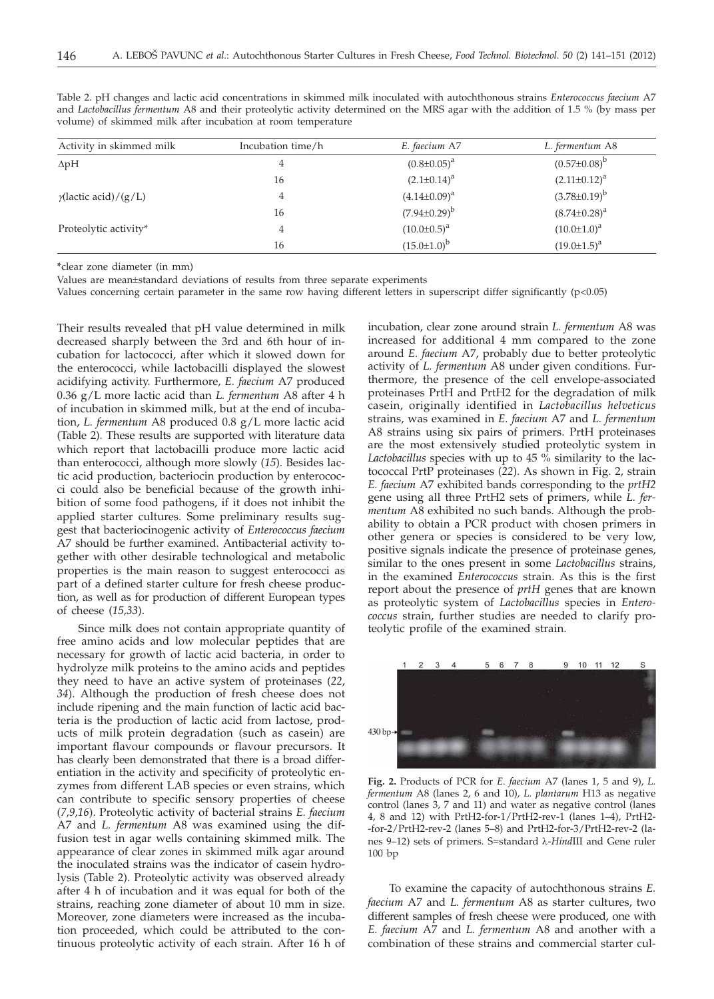| Activity in skimmed milk     | Incubation time/h | E. faecium A7       | L. fermentum A8       |  |
|------------------------------|-------------------|---------------------|-----------------------|--|
| $\Delta pH$                  |                   | $(0.8 \pm 0.05)^a$  | $(0.57 \pm 0.08)^{b}$ |  |
|                              | 16                | $(2.1 \pm 0.14)^a$  | $(2.11\pm0.12)^a$     |  |
| $\gamma$ (lactic acid)/(g/L) |                   | $(4.14\pm0.09)^a$   | $(3.78 \pm 0.19)^{b}$ |  |
|                              | 16                | $(7.94\pm0.29)^{b}$ | $(8.74 \pm 0.28)^a$   |  |
| Proteolytic activity*        |                   | $(10.0 \pm 0.5)^a$  | $(10.0 \pm 1.0)^a$    |  |
|                              | 16                | $(15.0 \pm 1.0)^b$  | $(19.0 \pm 1.5)^a$    |  |

Table 2. pH changes and lactic acid concentrations in skimmed milk inoculated with autochthonous strains *Enterococcus faecium* A7 and *Lactobacillus fermentum* A8 and their proteolytic activity determined on the MRS agar with the addition of 1.5 % (by mass per volume) of skimmed milk after incubation at room temperature

**\***clear zone diameter (in mm)

Values are mean±standard deviations of results from three separate experiments

Values concerning certain parameter in the same row having different letters in superscript differ significantly  $(p<0.05)$ 

Their results revealed that pH value determined in milk decreased sharply between the 3rd and 6th hour of incubation for lactococci, after which it slowed down for the enterococci, while lactobacilli displayed the slowest acidifying activity. Furthermore, *E. faecium* A7 produced 0.36 g/L more lactic acid than *L. fermentum* A8 after 4 h of incubation in skimmed milk, but at the end of incubation, *L. fermentum* A8 produced 0.8 g/L more lactic acid (Table 2). These results are supported with literature data which report that lactobacilli produce more lactic acid than enterococci, although more slowly (*15*). Besides lactic acid production, bacteriocin production by enterococci could also be beneficial because of the growth inhibition of some food pathogens, if it does not inhibit the applied starter cultures. Some preliminary results suggest that bacteriocinogenic activity of *Enterococcus faecium* A7 should be further examined. Antibacterial activity together with other desirable technological and metabolic properties is the main reason to suggest enterococci as part of a defined starter culture for fresh cheese production, as well as for production of different European types of cheese (*15,33*).

Since milk does not contain appropriate quantity of free amino acids and low molecular peptides that are necessary for growth of lactic acid bacteria, in order to hydrolyze milk proteins to the amino acids and peptides they need to have an active system of proteinases (*22*, *34*). Although the production of fresh cheese does not include ripening and the main function of lactic acid bacteria is the production of lactic acid from lactose, products of milk protein degradation (such as casein) are important flavour compounds or flavour precursors. It has clearly been demonstrated that there is a broad differentiation in the activity and specificity of proteolytic enzymes from different LAB species or even strains, which can contribute to specific sensory properties of cheese (*7,9,16*). Proteolytic activity of bacterial strains *E. faecium* A7 and *L. fermentum* A8 was examined using the diffusion test in agar wells containing skimmed milk. The appearance of clear zones in skimmed milk agar around the inoculated strains was the indicator of casein hydrolysis (Table 2). Proteolytic activity was observed already after 4 h of incubation and it was equal for both of the strains, reaching zone diameter of about 10 mm in size. Moreover, zone diameters were increased as the incubation proceeded, which could be attributed to the continuous proteolytic activity of each strain. After 16 h of

incubation, clear zone around strain *L. fermentum* A8 was increased for additional 4 mm compared to the zone around *E. faecium* A7, probably due to better proteolytic activity of *L. fermentum* A8 under given conditions. Furthermore, the presence of the cell envelope-associated proteinases PrtH and PrtH2 for the degradation of milk casein, originally identified in *Lactobacillus helveticus* strains, was examined in *E. faecium* A7 and *L. fermentum* A8 strains using six pairs of primers. PrtH proteinases are the most extensively studied proteolytic system in *Lactobacillus* species with up to 45 % similarity to the lactococcal PrtP proteinases (*22*). As shown in Fig. 2, strain *E. faecium* A7 exhibited bands corresponding to the *prtH2* gene using all three PrtH2 sets of primers, while *L. fermentum* A8 exhibited no such bands. Although the probability to obtain a PCR product with chosen primers in other genera or species is considered to be very low, positive signals indicate the presence of proteinase genes, similar to the ones present in some *Lactobacillus* strains, in the examined *Enterococcus* strain. As this is the first report about the presence of *prtH* genes that are known as proteolytic system of *Lactobacillus* species in *Enterococcus* strain, further studies are needed to clarify proteolytic profile of the examined strain.



**Fig. 2.** Products of PCR for *E. faecium* A7 (lanes 1, 5 and 9), *L. fermentum* A8 (lanes 2, 6 and 10)*, L. plantarum* H13 as negative control (lanes 3, 7 and 11) and water as negative control (lanes 4, 8 and 12) with PrtH2-for-1/PrtH2-rev-1 (lanes 1–4), PrtH2- -for-2/PrtH2-rev-2 (lanes 5–8) and PrtH2-for-3/PrtH2-rev-2 (lanes 9–12) sets of primers. S=standard l-*Hind*III and Gene ruler 100 bp

To examine the capacity of autochthonous strains *E. faecium* A7 and *L. fermentum* A8 as starter cultures, two different samples of fresh cheese were produced, one with *E. faecium* A7 and *L. fermentum* A8 and another with a combination of these strains and commercial starter cul-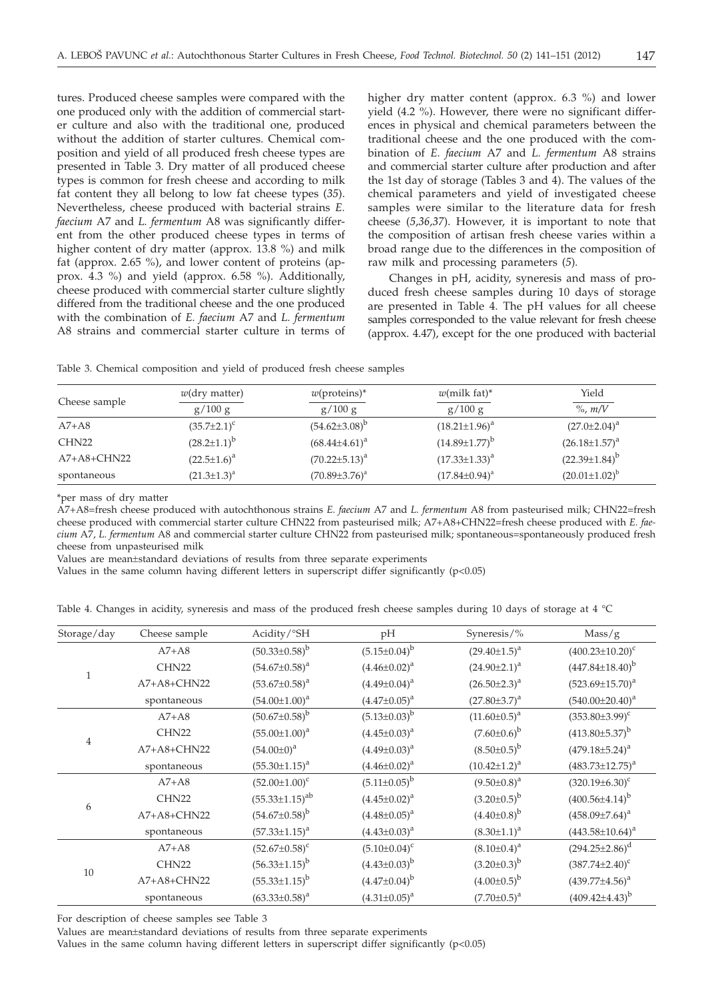tures. Produced cheese samples were compared with the one produced only with the addition of commercial starter culture and also with the traditional one, produced without the addition of starter cultures. Chemical composition and yield of all produced fresh cheese types are presented in Table 3. Dry matter of all produced cheese types is common for fresh cheese and according to milk fat content they all belong to low fat cheese types (*35*). Nevertheless, cheese produced with bacterial strains *E. faecium* A7 and *L. fermentum* A8 was significantly different from the other produced cheese types in terms of higher content of dry matter (approx. 13.8 %) and milk fat (approx. 2.65 %), and lower content of proteins (approx. 4.3 %) and yield (approx. 6.58 %). Additionally, cheese produced with commercial starter culture slightly differed from the traditional cheese and the one produced with the combination of *E. faecium* A7 and *L. fermentum* A8 strains and commercial starter culture in terms of higher dry matter content (approx. 6.3 %) and lower yield (4.2 %). However, there were no significant differences in physical and chemical parameters between the traditional cheese and the one produced with the combination of *E. faecium* A7 and *L. fermentum* A8 strains and commercial starter culture after production and after the 1st day of storage (Tables 3 and 4). The values of the chemical parameters and yield of investigated cheese samples were similar to the literature data for fresh cheese (*5*,*36,37*). However, it is important to note that the composition of artisan fresh cheese varies within a broad range due to the differences in the composition of raw milk and processing parameters (*5*)*.*

Changes in pH, acidity, syneresis and mass of produced fresh cheese samples during 10 days of storage are presented in Table 4. The pH values for all cheese samples corresponded to the value relevant for fresh cheese (approx. 4.47), except for the one produced with bacterial

| Cheese sample     | $w$ (dry matter)     | $w$ (proteins)*      | $w$ (milk fat)*        | Yield                  |
|-------------------|----------------------|----------------------|------------------------|------------------------|
|                   | g/100 g              | g/100 g              | g/100 g                | $\%$ , m/V             |
| $A7+A8$           | $(35.7 \pm 2.1)^c$   | $(54.62 \pm 3.08)^b$ | $(18.21 \pm 1.96)^a$   | $(27.0 \pm 2.04)^a$    |
| CHN <sub>22</sub> | $(28.2 \pm 1.1)^{b}$ | $(68.44\pm4.61)^a$   | $(14.89 \pm 1.77)^{b}$ | $(26.18 \pm 1.57)^a$   |
| $A7+A8+CHN22$     | $(22.5 \pm 1.6)^a$   | $(70.22 \pm 5.13)^a$ | $(17.33 \pm 1.33)^a$   | $(22.39\pm1.84)^{b}$   |
| spontaneous       | $(21.3 \pm 1.3)^a$   | $(70.89 \pm 3.76)^a$ | $(17.84 \pm 0.94)^a$   | $(20.01 \pm 1.02)^{b}$ |

Table 3. Chemical composition and yield of produced fresh cheese samples

\*per mass of dry matter

A7+A8=fresh cheese produced with autochthonous strains *E. faecium* A7 and *L. fermentum* A8 from pasteurised milk; CHN22=fresh cheese produced with commercial starter culture CHN22 from pasteurised milk; A7+A8+CHN22=fresh cheese produced with *E. faecium* A7, *L. fermentum* A8 and commercial starter culture CHN22 from pasteurised milk; spontaneous=spontaneously produced fresh cheese from unpasteurised milk

Values are mean±standard deviations of results from three separate experiments

Values in the same column having different letters in superscript differ significantly (p<0.05)

Table 4. Changes in acidity, syneresis and mass of the produced fresh cheese samples during 10 days of storage at 4 °C

| Storage/day    | Cheese sample     | Acidity/°SH             | pH                  | Syneresis/%           | Mass/g                  |
|----------------|-------------------|-------------------------|---------------------|-----------------------|-------------------------|
|                | $A7+A8$           | $(50.33\pm0.58)^{b}$    | $(5.15 \pm 0.04)^b$ | $(29.40 \pm 1.5)^{a}$ | $(400.23 \pm 10.20)^c$  |
|                | CHN <sub>22</sub> | $(54.67 \pm 0.58)^a$    | $(4.46\pm0.02)^a$   | $(24.90 \pm 2.1)^a$   | $(447.84 \pm 18.40)^b$  |
| $\mathbf{1}$   | $A7+A8+CHN22$     | $(53.67 \pm 0.58)^a$    | $(4.49 \pm 0.04)^a$ | $(26.50 \pm 2.3)^a$   | $(523.69 \pm 15.70)^a$  |
|                | spontaneous       | $(54.00 \pm 1.00)^a$    | $(4.47 \pm 0.05)^a$ | $(27.80 \pm 3.7)^a$   | $(540.00 \pm 20.40)^a$  |
|                | $A7+A8$           | $(50.67 \pm 0.58)^b$    | $(5.13\pm0.03)^b$   | $(11.60 \pm 0.5)^a$   | $(353.80 \pm 3.99)^c$   |
|                | CHN <sub>22</sub> | $(55.00 \pm 1.00)^a$    | $(4.45 \pm 0.03)^a$ | $(7.60\pm0.6)^{b}$    | $(413.80\pm5.37)^b$     |
| $\overline{4}$ | $A7+A8+CHN22$     | $(54.00\pm0)^{a}$       | $(4.49\pm0.03)^a$   | $(8.50\pm0.5)^{b}$    | $(479.18 \pm 5.24)^a$   |
|                | spontaneous       | $(55.30 \pm 1.15)^a$    | $(4.46 \pm 0.02)^a$ | $(10.42 \pm 1.2)^a$   | $(483.73 \pm 12.75)^a$  |
|                | $A7+A8$           | $(52.00 \pm 1.00)^c$    | $(5.11\pm0.05)^{b}$ | $(9.50 \pm 0.8)^a$    | $(320.19 \pm 6.30)^c$   |
|                | CHN <sub>22</sub> | $(55.33 \pm 1.15)^{ab}$ | $(4.45 \pm 0.02)^a$ | $(3.20 \pm 0.5)^{b}$  | $(400.56 \pm 4.14)^{b}$ |
| 6              | A7+A8+CHN22       | $(54.67 \pm 0.58)^b$    | $(4.48\pm0.05)^{a}$ | $(4.40\pm0.8)^{b}$    | $(458.09 \pm 7.64)^a$   |
|                | spontaneous       | $(57.33 \pm 1.15)^a$    | $(4.43\pm0.03)^{a}$ | $(8.30 \pm 1.1)^a$    | $(443.58 \pm 10.64)^a$  |
| 10             | $A7+A8$           | $(52.67 \pm 0.58)^c$    | $(5.10 \pm 0.04)^c$ | $(8.10 \pm 0.4)^a$    | $(294.25 \pm 2.86)^d$   |
|                | CHN <sub>22</sub> | $(56.33 \pm 1.15)^b$    | $(4.43\pm0.03)^{b}$ | $(3.20 \pm 0.3)^b$    | $(387.74 \pm 2.40)^c$   |
|                | A7+A8+CHN22       | $(55.33 \pm 1.15)^b$    | $(4.47\pm0.04)^{b}$ | $(4.00\pm0.5)^{b}$    | $(439.77 \pm 4.56)^a$   |
|                | spontaneous       | $(63.33 \pm 0.58)^a$    | $(4.31\pm0.05)^a$   | $(7.70 \pm 0.5)^a$    | $(409.42\pm4.43)^{b}$   |

For description of cheese samples see Table 3

Values are mean±standard deviations of results from three separate experiments

Values in the same column having different letters in superscript differ significantly (p<0.05)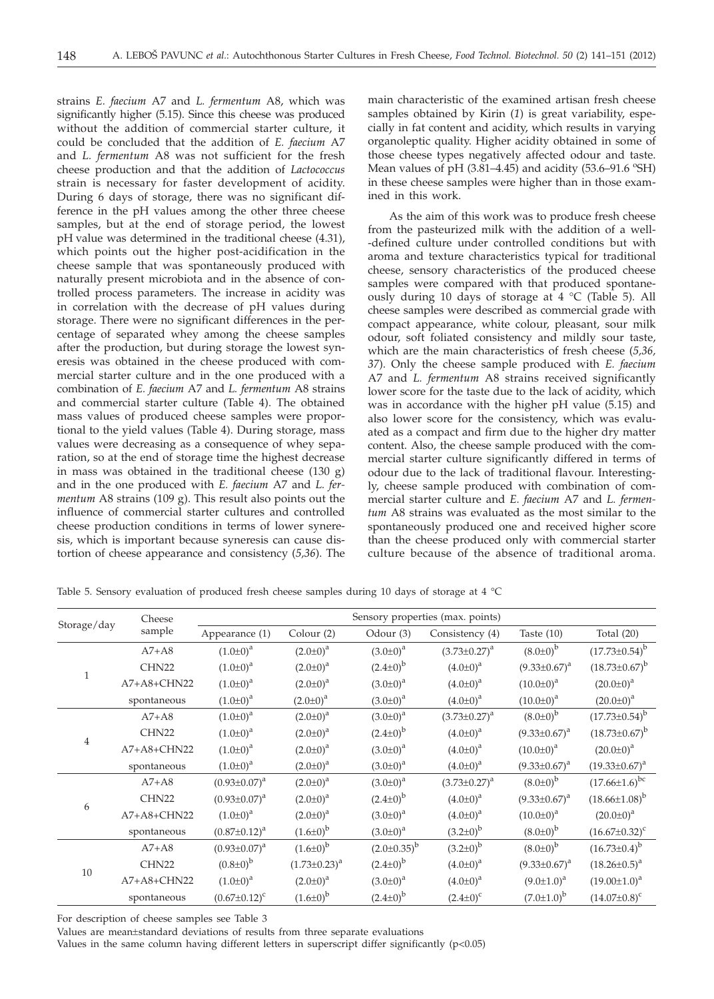strains *E. faecium* A7 and *L. fermentum* A8, which was significantly higher (5.15). Since this cheese was produced without the addition of commercial starter culture, it could be concluded that the addition of *E. faecium* A7 and *L. fermentum* A8 was not sufficient for the fresh cheese production and that the addition of *Lactococcus* strain is necessary for faster development of acidity. During 6 days of storage, there was no significant difference in the pH values among the other three cheese samples, but at the end of storage period, the lowest pH value was determined in the traditional cheese (4.31), which points out the higher post-acidification in the cheese sample that was spontaneously produced with naturally present microbiota and in the absence of controlled process parameters. The increase in acidity was in correlation with the decrease of pH values during storage. There were no significant differences in the percentage of separated whey among the cheese samples after the production, but during storage the lowest syneresis was obtained in the cheese produced with commercial starter culture and in the one produced with a combination of *E. faecium* A7 and *L. fermentum* A8 strains and commercial starter culture (Table 4). The obtained mass values of produced cheese samples were proportional to the yield values (Table 4). During storage, mass values were decreasing as a consequence of whey separation, so at the end of storage time the highest decrease in mass was obtained in the traditional cheese (130 g) and in the one produced with *E. faecium* A7 and *L. fermentum* A8 strains (109 g). This result also points out the influence of commercial starter cultures and controlled cheese production conditions in terms of lower syneresis, which is important because syneresis can cause distortion of cheese appearance and consistency (*5,36*). The

main characteristic of the examined artisan fresh cheese samples obtained by Kirin (*1*) is great variability, especially in fat content and acidity, which results in varying organoleptic quality. Higher acidity obtained in some of those cheese types negatively affected odour and taste. Mean values of pH  $(3.81-4.45)$  and acidity  $(53.6-91.6 \text{ °SH})$ in these cheese samples were higher than in those examined in this work.

As the aim of this work was to produce fresh cheese from the pasteurized milk with the addition of a well- -defined culture under controlled conditions but with aroma and texture characteristics typical for traditional cheese, sensory characteristics of the produced cheese samples were compared with that produced spontaneously during 10 days of storage at 4 °C (Table 5). All cheese samples were described as commercial grade with compact appearance, white colour, pleasant, sour milk odour, soft foliated consistency and mildly sour taste, which are the main characteristics of fresh cheese (*5,36, 37*). Only the cheese sample produced with *E. faecium* A7 and *L. fermentum* A8 strains received significantly lower score for the taste due to the lack of acidity, which was in accordance with the higher pH value (5.15) and also lower score for the consistency, which was evaluated as a compact and firm due to the higher dry matter content. Also, the cheese sample produced with the commercial starter culture significantly differed in terms of odour due to the lack of traditional flavour. Interestingly, cheese sample produced with combination of commercial starter culture and *E. faecium* A7 and *L. fermentum* A8 strains was evaluated as the most similar to the spontaneously produced one and received higher score than the cheese produced only with commercial starter culture because of the absence of traditional aroma.

| Table 5. Sensory evaluation of produced fresh cheese samples during 10 days of storage at 4 °C |  |  |  |  |  |  |  |  |  |
|------------------------------------------------------------------------------------------------|--|--|--|--|--|--|--|--|--|
|------------------------------------------------------------------------------------------------|--|--|--|--|--|--|--|--|--|

|                | Cheese            | Sensory properties (max. points) |                     |                      |                     |                     |                        |
|----------------|-------------------|----------------------------------|---------------------|----------------------|---------------------|---------------------|------------------------|
| Storage/day    | sample            | Appearance (1)                   | Colour (2)          | Odour (3)            | Consistency (4)     | Taste $(10)$        | Total $(20)$           |
|                | $A7+A8$           | $(1.0 \pm 0)^a$                  | $(2.0 \pm 0)^a$     | $(3.0 \pm 0)^a$      | $(3.73 \pm 0.27)^a$ | $(8.0 \pm 0)^{b}$   | $(17.73 \pm 0.54)^b$   |
| $\mathbf{1}$   | CHN <sub>22</sub> | $(1.0 \pm 0)^a$                  | $(2.0 \pm 0)^a$     | $(2.4\pm0)^{b}$      | $(4.0 \pm 0)^{a}$   | $(9.33 \pm 0.67)^a$ | $(18.73 \pm 0.67)^b$   |
|                | A7+A8+CHN22       | $(1.0 \pm 0)^a$                  | $(2.0 \pm 0)^a$     | $(3.0 \pm 0)^a$      | $(4.0\pm0)^{a}$     | $(10.0 \pm 0)^a$    | $(20.0 \pm 0)^a$       |
|                | spontaneous       | $(1.0 \pm 0)^a$                  | $(2.0 \pm 0)^a$     | $(3.0 \pm 0)^a$      | $(4.0\pm0)^{a}$     | $(10.0 \pm 0)^a$    | $(20.0 \pm 0)^a$       |
|                | $A7+A8$           | $(1.0 \pm 0)^a$                  | $(2.0 \pm 0)^a$     | $(3.0 \pm 0)^{a}$    | $(3.73 \pm 0.27)^a$ | $(8.0 \pm 0)^{b}$   | $(17.73 \pm 0.54)^b$   |
| $\overline{4}$ | CHN <sub>22</sub> | $(1.0 \pm 0)^a$                  | $(2.0 \pm 0)^a$     | $(2.4\pm0)^{b}$      | $(4.0 \pm 0)^{a}$   | $(9.33 \pm 0.67)^a$ | $(18.73\pm0.67)^{b}$   |
|                | $A7+A8+CHN22$     | $(1.0\pm0)^{a}$                  | $(2.0 \pm 0)^a$     | $(3.0 \pm 0)^a$      | $(4.0\pm0)^{a}$     | $(10.0 \pm 0)^a$    | $(20.0 \pm 0)^a$       |
|                | spontaneous       | $(1.0\pm0)^{a}$                  | $(2.0 \pm 0)^a$     | $(3.0 \pm 0)^a$      | $(4.0 \pm 0)^a$     | $(9.33\pm0.67)^a$   | $(19.33\pm0.67)^a$     |
| 6              | $A7+A8$           | $(0.93 \pm 0.07)^a$              | $(2.0 \pm 0)^a$     | $(3.0 \pm 0)^{a}$    | $(3.73 \pm 0.27)^a$ | $(8.0 \pm 0)^{b}$   | $(17.66 \pm 1.6)^{bc}$ |
|                | CHN22             | $(0.93 \pm 0.07)^a$              | $(2.0 \pm 0)^a$     | $(2.4 \pm 0)^{b}$    | $(4.0\pm0)^{a}$     | $(9.33\pm0.67)^a$   | $(18.66\pm1.08)^{b}$   |
|                | A7+A8+CHN22       | $(1.0 \pm 0)^{a}$                | $(2.0 \pm 0)^{a}$   | $(3.0 \pm 0)^a$      | $(4.0 \pm 0)^{a}$   | $(10.0 \pm 0)^a$    | $(20.0 \pm 0)^a$       |
|                | spontaneous       | $(0.87 \pm 0.12)^a$              | $(1.6 \pm 0)^{b}$   | $(3.0 \pm 0)^a$      | $(3.2\pm0)^{b}$     | $(8.0 \pm 0)^{b}$   | $(16.67 \pm 0.32)^c$   |
| 10             | $A7+A8$           | $(0.93 \pm 0.07)^a$              | $(1.6 \pm 0)^{b}$   | $(2.0 \pm 0.35)^{b}$ | $(3.2 \pm 0)^{b}$   | $(8.0 \pm 0)^{b}$   | $(16.73 \pm 0.4)^b$    |
|                | CHN <sub>22</sub> | $(0.8 \pm 0)^{b}$                | $(1.73 \pm 0.23)^a$ | $(2.4\pm0)^{b}$      | $(4.0\pm0)^{a}$     | $(9.33 \pm 0.67)^a$ | $(18.26 \pm 0.5)^a$    |
|                | A7+A8+CHN22       | $(1.0\pm0)^{a}$                  | $(2.0 \pm 0)^a$     | $(3.0 \pm 0)^a$      | $(4.0 \pm 0)^{a}$   | $(9.0 \pm 1.0)^a$   | $(19.00 \pm 1.0)^a$    |
|                | spontaneous       | $(0.67 \pm 0.12)^c$              | $(1.6\pm0)^{b}$     | $(2.4\pm0)^{b}$      | $(2.4 \pm 0)^{c}$   | $(7.0{\pm}1.0)^{b}$ | $(14.07 \pm 0.8)^c$    |

For description of cheese samples see Table 3

Values are mean±standard deviations of results from three separate evaluations

Values in the same column having different letters in superscript differ significantly  $(p<0.05)$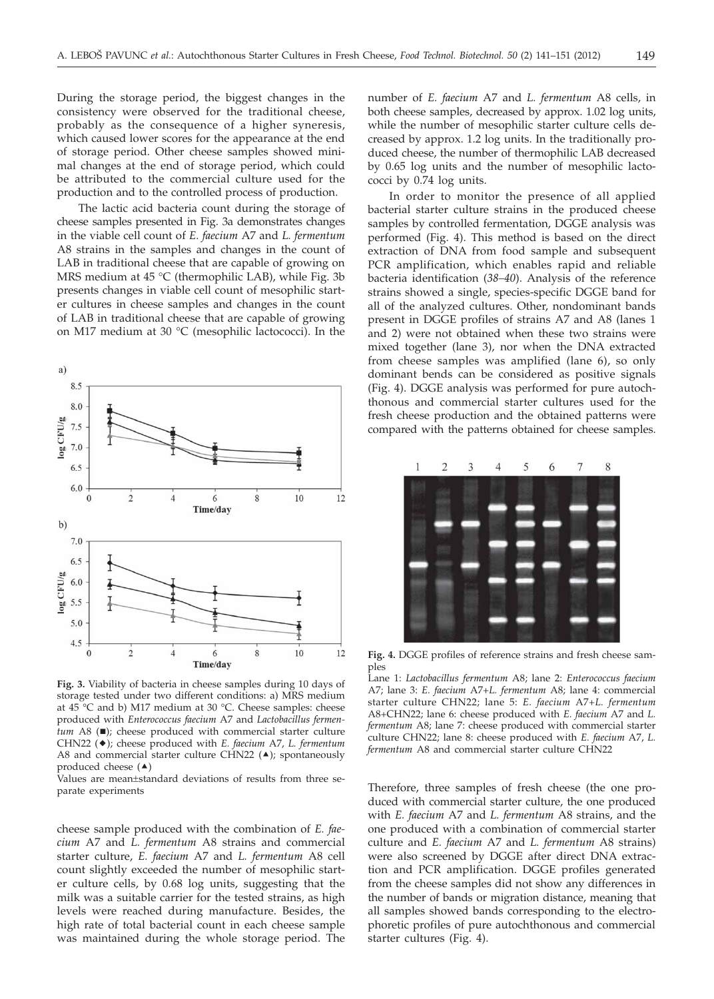During the storage period, the biggest changes in the consistency were observed for the traditional cheese, probably as the consequence of a higher syneresis, which caused lower scores for the appearance at the end of storage period. Other cheese samples showed minimal changes at the end of storage period, which could be attributed to the commercial culture used for the production and to the controlled process of production.

The lactic acid bacteria count during the storage of cheese samples presented in Fig. 3a demonstrates changes in the viable cell count of *E. faecium* A7 and *L. fermentum* A8 strains in the samples and changes in the count of LAB in traditional cheese that are capable of growing on MRS medium at 45 °C (thermophilic LAB), while Fig. 3b presents changes in viable cell count of mesophilic starter cultures in cheese samples and changes in the count of LAB in traditional cheese that are capable of growing on M17 medium at 30 °C (mesophilic lactococci). In the



**Fig. 3.** Viability of bacteria in cheese samples during 10 days of storage tested under two different conditions: a) MRS medium at 45 °C and b) M17 medium at 30 °C. Cheese samples: cheese produced with *Enterococcus faecium* A7 and *Lactobacillus fermentum* A8 (■); cheese produced with commercial starter culture CHN22 (-); cheese produced with *E. faecium* A7, *L. fermentum* A8 and commercial starter culture CHN22  $($ ); spontaneously produced cheese  $(4)$ 

Values are mean±standard deviations of results from three separate experiments

cheese sample produced with the combination of *E. faecium* A7 and *L. fermentum* A8 strains and commercial starter culture, *E. faecium* A7 and *L. fermentum* A8 cell count slightly exceeded the number of mesophilic starter culture cells, by 0.68 log units, suggesting that the milk was a suitable carrier for the tested strains, as high levels were reached during manufacture. Besides, the high rate of total bacterial count in each cheese sample was maintained during the whole storage period. The

number of *E. faecium* A7 and *L. fermentum* A8 cells, in both cheese samples, decreased by approx. 1.02 log units, while the number of mesophilic starter culture cells decreased by approx. 1.2 log units. In the traditionally produced cheese, the number of thermophilic LAB decreased by 0.65 log units and the number of mesophilic lactococci by 0.74 log units.

In order to monitor the presence of all applied bacterial starter culture strains in the produced cheese samples by controlled fermentation, DGGE analysis was performed (Fig. 4). This method is based on the direct extraction of DNA from food sample and subsequent PCR amplification, which enables rapid and reliable bacteria identification (*38–40*). Analysis of the reference strains showed a single, species-specific DGGE band for all of the analyzed cultures. Other, nondominant bands present in DGGE profiles of strains A7 and A8 (lanes 1 and 2) were not obtained when these two strains were mixed together (lane 3), nor when the DNA extracted from cheese samples was amplified (lane 6), so only dominant bends can be considered as positive signals (Fig. 4). DGGE analysis was performed for pure autochthonous and commercial starter cultures used for the fresh cheese production and the obtained patterns were compared with the patterns obtained for cheese samples.



**Fig. 4.** DGGE profiles of reference strains and fresh cheese samples

Lane 1: *Lactobacillus fermentum* A8; lane 2: *Enterococcus faecium* A7; lane 3: *E. faecium* A7+*L. fermentum* A8; lane 4: commercial starter culture CHN22; lane 5: *E. faecium* A7+*L. fermentum* A8+CHN22; lane 6: cheese produced with *E. faecium* A7 and *L. fermentum* A8; lane 7: cheese produced with commercial starter culture CHN22; lane 8: cheese produced with *E. faecium* A7, *L. fermentum* A8 and commercial starter culture CHN22

Therefore, three samples of fresh cheese (the one produced with commercial starter culture, the one produced with *E. faecium* A7 and *L. fermentum* A8 strains, and the one produced with a combination of commercial starter culture and *E. faecium* A7 and *L. fermentum* A8 strains) were also screened by DGGE after direct DNA extraction and PCR amplification. DGGE profiles generated from the cheese samples did not show any differences in the number of bands or migration distance, meaning that all samples showed bands corresponding to the electrophoretic profiles of pure autochthonous and commercial starter cultures (Fig. 4).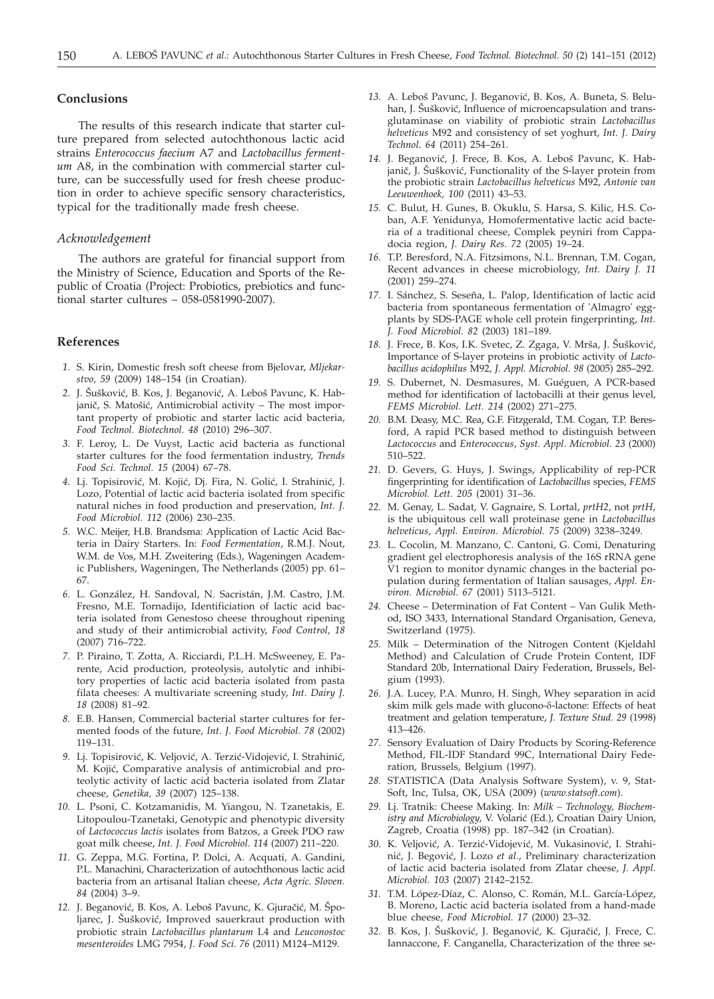#### **Conclusions**

The results of this research indicate that starter culture prepared from selected autochthonous lactic acid strains *Enterococcus faecium* A7 and *Lactobacillus fermentum* A8, in the combination with commercial starter culture, can be successfully used for fresh cheese production in order to achieve specific sensory characteristics, typical for the traditionally made fresh cheese.

# *Acknowledgement*

The authors are grateful for financial support from the Ministry of Science, Education and Sports of the Republic of Croatia (Project: Probiotics, prebiotics and functional starter cultures – 058-0581990-2007).

#### **References**

- *1.* S. Kirin, Domestic fresh soft cheese from Bjelovar, *Mljekarstvo, 59* (2009) 148–154 (in Croatian).
- 2. J. Šušković, B. Kos, J. Beganović, A. Leboš Pavunc, K. Habjanič, S. Matošić, Antimicrobial activity – The most important property of probiotic and starter lactic acid bacteria, *Food Technol. Biotechnol. 48* (2010) 296–307.
- *3.* F. Leroy, L. De Vuyst, Lactic acid bacteria as functional starter cultures for the food fermentation industry, *Trends Food Sci. Technol. 15* (2004) 67–78.
- 4. Lj. Topisirović, M. Kojić, Dj. Fira, N. Golić, I. Strahinić, J. Lozo, Potential of lactic acid bacteria isolated from specific natural niches in food production and preservation, *Int. J. Food Microbiol. 112* (2006) 230–235.
- *5.* W.C. Meijer, H.B. Brandsma: Application of Lactic Acid Bacteria in Dairy Starters. In: *Food Fermentation*, R.M.J. Nout, W.M. de Vos, M.H. Zweitering (Eds.), Wageningen Academic Publishers, Wageningen, The Netherlands (2005) pp. 61– 67.
- *6.* L. González, H. Sandoval, N. Sacristán, J.M. Castro, J.M. Fresno, M.E. Tornadijo, Identificiation of lactic acid bacteria isolated from Genestoso cheese throughout ripening and study of their antimicrobial activity, *Food Control, 18* (2007) 716–722.
- *7.* P. Piraino, T. Zotta, A. Ricciardi, P.L.H. McSweeney, E. Parente, Acid production, proteolysis, autolytic and inhibitory properties of lactic acid bacteria isolated from pasta filata cheeses: A multivariate screening study, *Int. Dairy J. 18* (2008) 81–92.
- *8.* E.B. Hansen, Commercial bacterial starter cultures for fermented foods of the future, *Int. J. Food Microbiol. 78* (2002) 119–131.
- 9. Lj. Topisirović, K. Veljović, A. Terzić-Vidojević, I. Strahinić, M. Kojić, Comparative analysis of antimicrobial and proteolytic activity of lactic acid bacteria isolated from Zlatar cheese, *Genetika, 39* (2007) 125–138.
- *10.* L. Psoni, C. Kotzamanidis, M. Yiangou, N. Tzanetakis, E. Litopoulou-Tzanetaki, Genotypic and phenotypic diversity of *Lactococcus lactis* isolates from Batzos, a Greek PDO raw goat milk cheese, *Int. J. Food Microbiol. 114* (2007) 211–220.
- *11.* G. Zeppa, M.G. Fortina, P. Dolci, A. Acquati, A. Gandini, P.L. Manachini, Characterization of autochthonous lactic acid bacteria from an artisanal Italian cheese, *Acta Agric. Sloven. 84* (2004) 3–9.
- 12. J. Beganović, B. Kos, A. Leboš Pavunc, K. Gjuračić, M. Špoljarec, J. Šušković, Improved sauerkraut production with probiotic strain *Lactobacillus plantarum* L4 and *Leuconostoc mesenteroides* LMG 7954, *J. Food Sci. 76* (2011) M124–M129.
- 13. A. Leboš Pavunc, J. Beganović, B. Kos, A. Buneta, S. Beluhan, J. Šušković, Influence of microencapsulation and transglutaminase on viability of probiotic strain *Lactobacillus helveticus* M92 and consistency of set yoghurt, *Int. J. Dairy Technol*. *64* (2011) 254–261.
- 14. J. Beganović, J. Frece, B. Kos, A. Leboš Pavunc, K. Habjanič, J. Šušković, Functionality of the S-layer protein from the probiotic strain *Lactobacillus helveticus* M92, *Antonie van Leeuwenhoek, 100* (2011) 43–53.
- *15.* C. Bulut, H. Gunes, B. Okuklu, S. Harsa, S. Kilic, H.S. Coban, A.F. Yenidunya, Homofermentative lactic acid bacteria of a traditional cheese, Complek peyniri from Cappadocia region, *J. Dairy Res. 72* (2005) 19–24.
- *16.* T.P. Beresford, N.A. Fitzsimons, N.L. Brennan, T.M. Cogan, Recent advances in cheese microbiology, *Int. Dairy J. 11* (2001) 259–274.
- *17.* I. Sánchez, S. Seseña, L. Palop, Identification of lactic acid bacteria from spontaneous fermentation of 'Almagro' eggplants by SDS-PAGE whole cell protein fingerprinting, *Int. J. Food Microbiol. 82* (2003) 181–189.
- 18. J. Frece, B. Kos, I.K. Svetec, Z. Zgaga, V. Mrša, J. Šušković, Importance of S-layer proteins in probiotic activity of *Lactobacillus acidophilus* M92, *J. Appl. Microbiol. 98* (2005) 285–292.
- *19.* S. Dubernet, N. Desmasures, M. Guéguen, A PCR-based method for identification of lactobacilli at their genus level, *FEMS Microbiol. Lett. 214* (2002) 271–275.
- *20.* B.M. Deasy, M.C. Rea, G.F. Fitzgerald, T.M. Cogan, T.P. Beresford, A rapid PCR based method to distinguish between *Lactococcus* and *Enterococcus*, *Syst. Appl. Microbiol. 23* (2000) 510–522.
- *21.* D. Gevers, G. Huys, J. Swings, Applicability of rep-PCR fingerprinting for identification of *Lactobacillus* species, *FEMS Microbiol. Lett. 205* (2001) 31–36.
- *22.* M. Genay, L. Sadat, V. Gagnaire, S. Lortal, *prtH2*, not *prtH*, is the ubiquitous cell wall proteinase gene in *Lactobacillus helveticus*, *Appl. Environ. Microbiol. 75* (2009) 3238–3249.
- *23.* L. Cocolin, M. Manzano, C. Cantoni, G. Comi, Denaturing gradient gel electrophoresis analysis of the 16S rRNA gene V1 region to monitor dynamic changes in the bacterial population during fermentation of Italian sausages, *Appl. Environ. Microbiol. 67* (2001) 5113–5121.
- *24.* Cheese Determination of Fat Content Van Gulik Method, ISO 3433, International Standard Organisation, Geneva, Switzerland (1975).
- *25.* Milk Determination of the Nitrogen Content (Kjeldahl Method) and Calculation of Crude Protein Content, IDF Standard 20b, International Dairy Federation, Brussels, Belgium (1993).
- *26.* J.A. Lucey, P.A. Munro, H. Singh, Whey separation in acid skim milk gels made with glucono- $\delta$ -lactone: Effects of heat treatment and gelation temperature, *J. Texture Stud. 29* (1998) 413–426.
- *27.* Sensory Evaluation of Dairy Products by Scoring-Reference Method, FIL-IDF Standard 99C, International Dairy Federation, Brussels, Belgium (1997).
- *28.* STATISTICA (Data Analysis Software System), v. 9, Stat-Soft, Inc, Tulsa, OK, USA (2009) (*www.statsoft.com*).
- *29.* Lj. Tratnik: Cheese Making. In: *Milk Technology, Biochem*istry and Microbiology, V. Volarić (Ed.), Croatian Dairy Union, Zagreb, Croatia (1998) pp. 187–342 (in Croatian).
- 30. K. Veljović, A. Terzić-Vidojević, M. Vukasinović, I. Strahinić, J. Begović, J. Lozo *et al.*, Preliminary characterization of lactic acid bacteria isolated from Zlatar cheese, *J. Appl. Microbiol. 103* (2007) 2142–2152.
- *31.* T.M. López-Díaz, C. Alonso, C. Román, M.L. García-López, B. Moreno, Lactic acid bacteria isolated from a hand-made blue cheese, *Food Microbiol. 17* (2000) 23–32.
- 32. B. Kos, J. Šušković, J. Beganović, K. Gjuračić, J. Frece, C. Iannaccone, F. Canganella, Characterization of the three se-